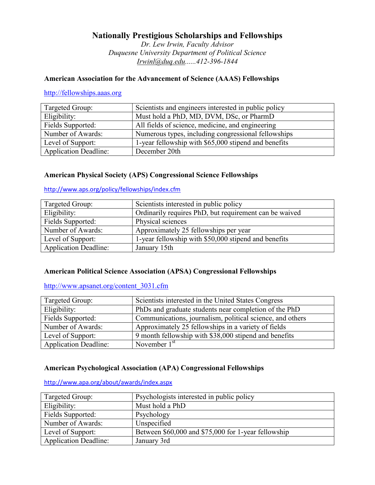# **Nationally Prestigious Scholarships and Fellowships**

*Dr. Lew Irwin, Faculty Advisor Duquesne University Department of Political Science [Irwinl@duq.edu......412-396-1844](mailto:Irwinl@duq.edu......412-396-1844)*

# **American Association for the Advancement of Science (AAAS) Fellowships**

[http://fellowships.aaas.org](http://fellowships.aaas.org/)

| Targeted Group:              | Scientists and engineers interested in public policy |
|------------------------------|------------------------------------------------------|
| Eligibility:                 | Must hold a PhD, MD, DVM, DSc, or PharmD             |
| Fields Supported:            | All fields of science, medicine, and engineering     |
| Number of Awards:            | Numerous types, including congressional fellowships  |
| Level of Support:            | 1-year fellowship with \$65,000 stipend and benefits |
| <b>Application Deadline:</b> | December 20th                                        |

# **American Physical Society (APS) Congressional Science Fellowships**

<http://www.aps.org/policy/fellowships/index.cfm>

| Targeted Group:              | Scientists interested in public policy                 |
|------------------------------|--------------------------------------------------------|
| Eligibility:                 | Ordinarily requires PhD, but requirement can be waived |
| Fields Supported:            | Physical sciences                                      |
| Number of Awards:            | Approximately 25 fellowships per year                  |
| Level of Support:            | 1-year fellowship with \$50,000 stipend and benefits   |
| <b>Application Deadline:</b> | January 15th                                           |

#### **American Political Science Association (APSA) Congressional Fellowships**

[http://www.apsanet.org/content\\_3031.cfm](http://www.apsanet.org/content_3031.cfm)

| Targeted Group:              | Scientists interested in the United States Congress       |
|------------------------------|-----------------------------------------------------------|
| Eligibility:                 | PhDs and graduate students near completion of the PhD     |
| Fields Supported:            | Communications, journalism, political science, and others |
| Number of Awards:            | Approximately 25 fellowships in a variety of fields       |
| Level of Support:            | 9 month fellowship with \$38,000 stipend and benefits     |
| <b>Application Deadline:</b> | November $1st$                                            |

#### **American Psychological Association (APA) Congressional Fellowships**

| http://www.apa.org/about/awards/index.aspx |
|--------------------------------------------|
|--------------------------------------------|

| Targeted Group:              | Psychologists interested in public policy           |
|------------------------------|-----------------------------------------------------|
| Eligibility:                 | Must hold a PhD                                     |
| Fields Supported:            | Psychology                                          |
| Number of Awards:            | Unspecified                                         |
| Level of Support:            | Between \$60,000 and \$75,000 for 1-year fellowship |
| <b>Application Deadline:</b> | January 3rd                                         |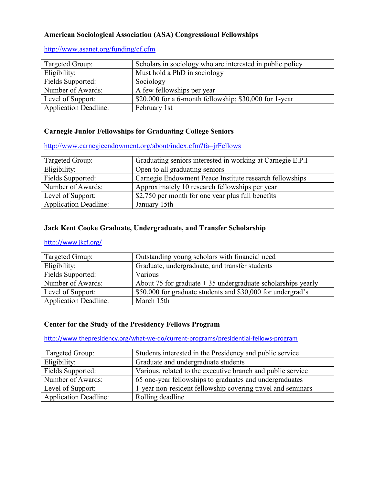#### **American Sociological Association (ASA) Congressional Fellowships**

#### <http://www.asanet.org/funding/cf.cfm>

| Targeted Group:              | Scholars in sociology who are interested in public policy |
|------------------------------|-----------------------------------------------------------|
| Eligibility:                 | Must hold a PhD in sociology                              |
| Fields Supported:            | Sociology                                                 |
| Number of Awards:            | A few fellowships per year                                |
| Level of Support:            | \$20,000 for a 6-month fellowship; $$30,000$ for 1-year   |
| <b>Application Deadline:</b> | February 1st                                              |

## **Carnegie Junior Fellowships for Graduating College Seniors**

<http://www.carnegieendowment.org/about/index.cfm?fa=jrFellows>

| Targeted Group:              | Graduating seniors interested in working at Carnegie E.P.I |
|------------------------------|------------------------------------------------------------|
| Eligibility:                 | Open to all graduating seniors                             |
| Fields Supported:            | Carnegie Endowment Peace Institute research fellowships    |
| Number of Awards:            | Approximately 10 research fellowships per year             |
| Level of Support:            | \$2,750 per month for one year plus full benefits          |
| <b>Application Deadline:</b> | January 15th                                               |

#### **Jack Kent Cooke Graduate, Undergraduate, and Transfer Scholarship**

#### <http://www.jkcf.org/>

| Targeted Group:              | Outstanding young scholars with financial need                |
|------------------------------|---------------------------------------------------------------|
| Eligibility:                 | Graduate, undergraduate, and transfer students                |
| Fields Supported:            | Various                                                       |
| Number of Awards:            | About 75 for graduate $+35$ undergraduate scholarships yearly |
| Level of Support:            | \$50,000 for graduate students and \$30,000 for undergrad's   |
| <b>Application Deadline:</b> | March 15th                                                    |

# **Center for the Study of the Presidency Fellows Program**

<http://www.thepresidency.org/what-we-do/current-programs/presidential-fellows-program>

| Targeted Group:              | Students interested in the Presidency and public service    |
|------------------------------|-------------------------------------------------------------|
| Eligibility:                 | Graduate and undergraduate students                         |
| Fields Supported:            | Various, related to the executive branch and public service |
| Number of Awards:            | 65 one-year fellowships to graduates and undergraduates     |
| Level of Support:            | 1-year non-resident fellowship covering travel and seminars |
| <b>Application Deadline:</b> | Rolling deadline                                            |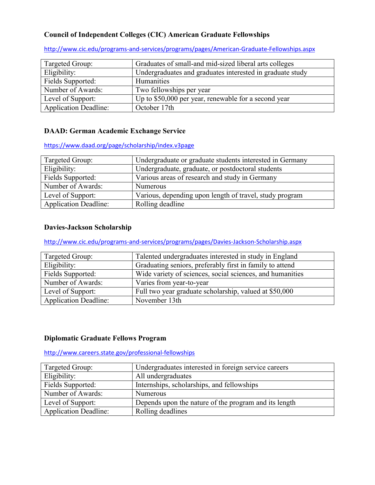# **Council of Independent Colleges (CIC) American Graduate Fellowships**

| Targeted Group:              | Graduates of small-and mid-sized liberal arts colleges    |
|------------------------------|-----------------------------------------------------------|
| Eligibility:                 | Undergraduates and graduates interested in graduate study |
| Fields Supported:            | Humanities                                                |
| Number of Awards:            | Two fellowships per year                                  |
| Level of Support:            | Up to \$50,000 per year, renewable for a second year      |
| <b>Application Deadline:</b> | October 17th                                              |

<http://www.cic.edu/programs-and-services/programs/pages/American-Graduate-Fellowships.aspx>

# **DAAD: German Academic Exchange Service**

<https://www.daad.org/page/scholarship/index.v3page>

| Targeted Group:              | Undergraduate or graduate students interested in Germany |
|------------------------------|----------------------------------------------------------|
| Eligibility:                 | Undergraduate, graduate, or postdoctoral students        |
| Fields Supported:            | Various areas of research and study in Germany           |
| Number of Awards:            | <b>Numerous</b>                                          |
| Level of Support:            | Various, depending upon length of travel, study program  |
| <b>Application Deadline:</b> | Rolling deadline                                         |

## **Davies-Jackson Scholarship**

<http://www.cic.edu/programs-and-services/programs/pages/Davies-Jackson-Scholarship.aspx>

| Targeted Group:              | Talented undergraduates interested in study in England    |
|------------------------------|-----------------------------------------------------------|
| Eligibility:                 | Graduating seniors, preferably first in family to attend  |
| Fields Supported:            | Wide variety of sciences, social sciences, and humanities |
| Number of Awards:            | Varies from year-to-year                                  |
| Level of Support:            | Full two year graduate scholarship, valued at \$50,000    |
| <b>Application Deadline:</b> | November 13th                                             |

#### **Diplomatic Graduate Fellows Program**

<http://www.careers.state.gov/professional-fellowships>

| Targeted Group:              | Undergraduates interested in foreign service careers  |
|------------------------------|-------------------------------------------------------|
| Eligibility:                 | All undergraduates                                    |
| Fields Supported:            | Internships, scholarships, and fellowships            |
| Number of Awards:            | <b>Numerous</b>                                       |
| Level of Support:            | Depends upon the nature of the program and its length |
| <b>Application Deadline:</b> | Rolling deadlines                                     |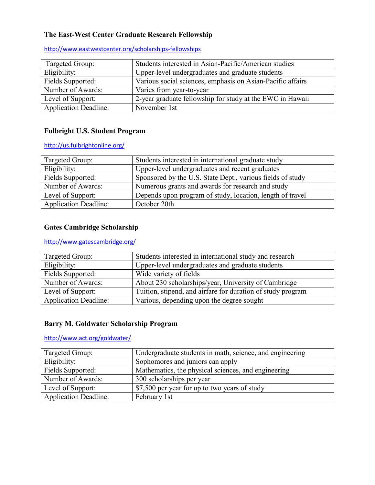# **The East-West Center Graduate Research Fellowship**

| Targeted Group:              | Students interested in Asian-Pacific/American studies      |
|------------------------------|------------------------------------------------------------|
| Eligibility:                 | Upper-level undergraduates and graduate students           |
| Fields Supported:            | Various social sciences, emphasis on Asian-Pacific affairs |
| Number of Awards:            | Varies from year-to-year                                   |
| Level of Support:            | 2-year graduate fellowship for study at the EWC in Hawaii  |
| <b>Application Deadline:</b> | November 1st                                               |

<http://www.eastwestcenter.org/scholarships-fellowships>

# **Fulbright U.S. Student Program**

<http://us.fulbrightonline.org/>

| Targeted Group:              | Students interested in international graduate study        |
|------------------------------|------------------------------------------------------------|
| Eligibility:                 | Upper-level undergraduates and recent graduates            |
| Fields Supported:            | Sponsored by the U.S. State Dept., various fields of study |
| Number of Awards:            | Numerous grants and awards for research and study          |
| Level of Support:            | Depends upon program of study, location, length of travel  |
| <b>Application Deadline:</b> | October 20th                                               |

# **Gates Cambridge Scholarship**

# <http://www.gatescambridge.org/>

| Targeted Group:              | Students interested in international study and research     |
|------------------------------|-------------------------------------------------------------|
| Eligibility:                 | Upper-level undergraduates and graduate students            |
| Fields Supported:            | Wide variety of fields                                      |
| Number of Awards:            | About 230 scholarships/year, University of Cambridge        |
| Level of Support:            | Tuition, stipend, and airfare for duration of study program |
| <b>Application Deadline:</b> | Various, depending upon the degree sought                   |

#### **Barry M. Goldwater Scholarship Program**

<http://www.act.org/goldwater/>

| Targeted Group:              | Undergraduate students in math, science, and engineering |
|------------------------------|----------------------------------------------------------|
| Eligibility:                 | Sophomores and juniors can apply                         |
| Fields Supported:            | Mathematics, the physical sciences, and engineering      |
| Number of Awards:            | 300 scholarships per year                                |
| Level of Support:            | \$7,500 per year for up to two years of study            |
| <b>Application Deadline:</b> | February 1st                                             |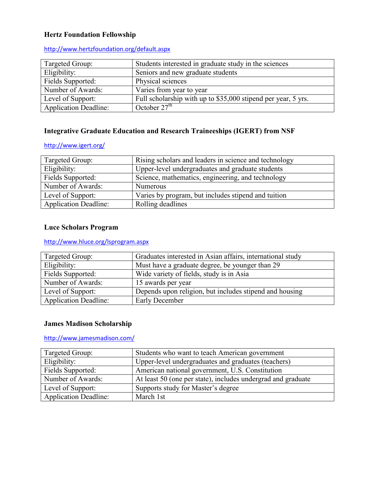# **Hertz Foundation Fellowship**

| Targeted Group:              | Students interested in graduate study in the sciences         |
|------------------------------|---------------------------------------------------------------|
| Eligibility:                 | Seniors and new graduate students                             |
| Fields Supported:            | Physical sciences                                             |
| Number of Awards:            | Varies from year to year                                      |
| Level of Support:            | Full scholarship with up to \$35,000 stipend per year, 5 yrs. |
| <b>Application Deadline:</b> | October $27th$                                                |

#### <http://www.hertzfoundation.org/default.aspx>

# **Integrative Graduate Education and Research Traineeships (IGERT) from NSF**

#### <http://www.igert.org/>

| Targeted Group:              | Rising scholars and leaders in science and technology |
|------------------------------|-------------------------------------------------------|
| Eligibility:                 | Upper-level undergraduates and graduate students      |
| Fields Supported:            | Science, mathematics, engineering, and technology     |
| Number of Awards:            | <b>Numerous</b>                                       |
| Level of Support:            | Varies by program, but includes stipend and tuition   |
| <b>Application Deadline:</b> | Rolling deadlines                                     |

## **Luce Scholars Program**

# <http://www.hluce.org/lsprogram.aspx>

| Targeted Group:              | Graduates interested in Asian affairs, international study |
|------------------------------|------------------------------------------------------------|
| Eligibility:                 | Must have a graduate degree, be younger than 29            |
| Fields Supported:            | Wide variety of fields, study is in Asia                   |
| Number of Awards:            | 15 awards per year                                         |
| Level of Support:            | Depends upon religion, but includes stipend and housing    |
| <b>Application Deadline:</b> | <b>Early December</b>                                      |

#### **James Madison Scholarship**

## <http://www.jamesmadison.com/>

| Targeted Group:              | Students who want to teach American government               |
|------------------------------|--------------------------------------------------------------|
| Eligibility:                 | Upper-level undergraduates and graduates (teachers)          |
| Fields Supported:            | American national government, U.S. Constitution              |
| Number of Awards:            | At least 50 (one per state), includes undergrad and graduate |
| Level of Support:            | Supports study for Master's degree                           |
| <b>Application Deadline:</b> | March 1st                                                    |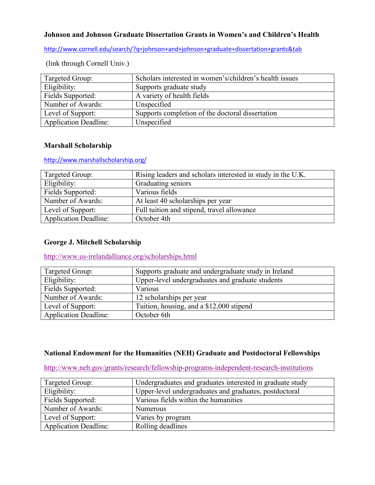# **Johnson and Johnson Graduate Dissertation Grants in Women's and Children's Health**

<http://www.cornell.edu/search/?q=johnson+and+johnson+graduate+dissertation+grants&tab>

| Targeted Group:              | Scholars interested in women's/children's health issues |
|------------------------------|---------------------------------------------------------|
| Eligibility:                 | Supports graduate study                                 |
| Fields Supported:            | A variety of health fields                              |
| Number of Awards:            | Unspecified                                             |
| Level of Support:            | Supports completion of the doctoral dissertation        |
| <b>Application Deadline:</b> | Unspecified                                             |

(link through Cornell Univ.)

#### **Marshall Scholarship**

#### <http://www.marshallscholarship.org/>

| Targeted Group:              | Rising leaders and scholars interested in study in the U.K. |
|------------------------------|-------------------------------------------------------------|
| Eligibility:                 | Graduating seniors                                          |
| Fields Supported:            | Various fields                                              |
| Number of Awards:            | At least 40 scholarships per year                           |
| Level of Support:            | Full tuition and stipend, travel allowance                  |
| <b>Application Deadline:</b> | October 4th                                                 |

## **George J. Mitchell Scholarship**

<http://www.us-irelandalliance.org/scholarships.html>

| Targeted Group:              | Supports graduate and undergraduate study in Ireland |
|------------------------------|------------------------------------------------------|
| Eligibility:                 | Upper-level undergraduates and graduate students     |
| Fields Supported:            | Various                                              |
| Number of Awards:            | 12 scholarships per year                             |
| Level of Support:            | Tuition, housing, and a \$12,000 stipend             |
| <b>Application Deadline:</b> | October 6th                                          |

## **National Endowment for the Humanities (NEH) Graduate and Postdoctoral Fellowships**

<http://www.neh.gov/grants/research/fellowship-programs-independent-research-institutions>

| Targeted Group:              | Undergraduates and graduates interested in graduate study |
|------------------------------|-----------------------------------------------------------|
| Eligibility:                 | Upper-level undergraduates and graduates, postdoctoral    |
| Fields Supported:            | Various fields within the humanities                      |
| Number of Awards:            | <b>Numerous</b>                                           |
| Level of Support:            | Varies by program                                         |
| <b>Application Deadline:</b> | Rolling deadlines                                         |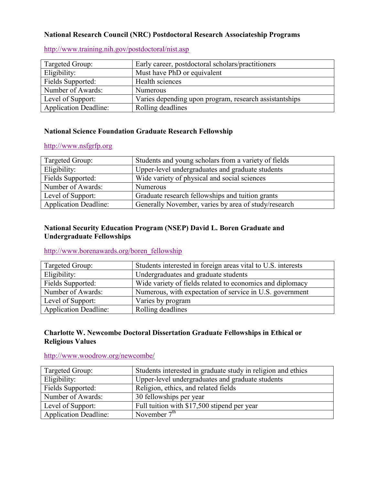#### **National Research Council (NRC) Postdoctoral Research Associateship Programs**

| Targeted Group:              | Early career, postdoctoral scholars/practitioners      |
|------------------------------|--------------------------------------------------------|
| Eligibility:                 | Must have PhD or equivalent                            |
| Fields Supported:            | Health sciences                                        |
| Number of Awards:            | <b>Numerous</b>                                        |
| Level of Support:            | Varies depending upon program, research assistantships |
| <b>Application Deadline:</b> | Rolling deadlines                                      |

<http://www.training.nih.gov/postdoctoral/nist.asp>

# **National Science Foundation Graduate Research Fellowship**

#### [http://www.nsfgrfp.org](http://www.nsfgrfp.org/)

| Targeted Group:              | Students and young scholars from a variety of fields |
|------------------------------|------------------------------------------------------|
| Eligibility:                 | Upper-level undergraduates and graduate students     |
| Fields Supported:            | Wide variety of physical and social sciences         |
| Number of Awards:            | <b>Numerous</b>                                      |
| Level of Support:            | Graduate research fellowships and tuition grants     |
| <b>Application Deadline:</b> | Generally November, varies by area of study/research |

# **National Security Education Program (NSEP) David L. Boren Graduate and Undergraduate Fellowships**

## [http://www.borenawards.org/boren\\_fellowship](http://www.borenawards.org/boren_fellowship)

| Targeted Group:              | Students interested in foreign areas vital to U.S. interests |
|------------------------------|--------------------------------------------------------------|
| Eligibility:                 | Undergraduates and graduate students                         |
| Fields Supported:            | Wide variety of fields related to economics and diplomacy    |
| Number of Awards:            | Numerous, with expectation of service in U.S. government     |
| Level of Support:            | Varies by program                                            |
| <b>Application Deadline:</b> | Rolling deadlines                                            |

### **Charlotte W. Newcombe Doctoral Dissertation Graduate Fellowships in Ethical or Religious Values**

#### [http://www.woodrow.org/newcombe/](http://www.woodrow.org/newcombe)

| Targeted Group:              | Students interested in graduate study in religion and ethics |
|------------------------------|--------------------------------------------------------------|
| Eligibility:                 | Upper-level undergraduates and graduate students             |
| Fields Supported:            | Religion, ethics, and related fields                         |
| Number of Awards:            | 30 fellowships per year                                      |
| Level of Support:            | Full tuition with \$17,500 stipend per year                  |
| <b>Application Deadline:</b> | November $7th$                                               |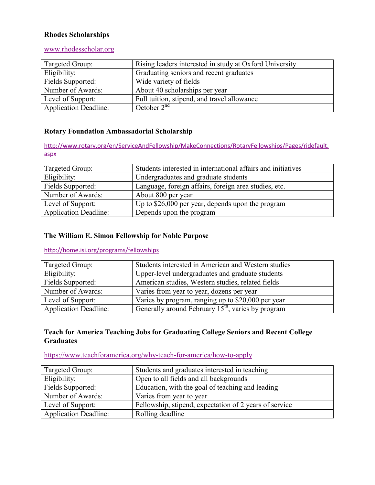#### **Rhodes Scholarships**

#### [www.rhodesscholar.org](http://www.rhodesscholar.org/)

| Targeted Group:              | Rising leaders interested in study at Oxford University |
|------------------------------|---------------------------------------------------------|
| Eligibility:                 | Graduating seniors and recent graduates                 |
| Fields Supported:            | Wide variety of fields                                  |
| Number of Awards:            | About 40 scholarships per year                          |
| Level of Support:            | Full tuition, stipend, and travel allowance             |
| <b>Application Deadline:</b> | October $2nd$                                           |

#### **Rotary Foundation Ambassadorial Scholarship**

[http://www.rotary.org/en/ServiceAndFellowship/MakeConnections/RotaryFellowships/Pages/ridefault.](http://www.rotary.org/en/ServiceAndFellowship/MakeConnections/RotaryFellowships/Pages/ridefault.aspx) [aspx](http://www.rotary.org/en/ServiceAndFellowship/MakeConnections/RotaryFellowships/Pages/ridefault.aspx)

| Targeted Group:              | Students interested in international affairs and initiatives |
|------------------------------|--------------------------------------------------------------|
| Eligibility:                 | Undergraduates and graduate students                         |
| Fields Supported:            | Language, foreign affairs, foreign area studies, etc.        |
| Number of Awards:            | About 800 per year                                           |
| Level of Support:            | Up to \$26,000 per year, depends upon the program            |
| <b>Application Deadline:</b> | Depends upon the program                                     |

#### **The William E. Simon Fellowship for Noble Purpose**

# <http://home.isi.org/programs/fellowships>

| Targeted Group:              | Students interested in American and Western studies            |
|------------------------------|----------------------------------------------------------------|
| Eligibility:                 | Upper-level undergraduates and graduate students               |
| Fields Supported:            | American studies, Western studies, related fields              |
| Number of Awards:            | Varies from year to year, dozens per year                      |
| Level of Support:            | Varies by program, ranging up to \$20,000 per year             |
| <b>Application Deadline:</b> | Generally around February 15 <sup>th</sup> , varies by program |

## **Teach for America Teaching Jobs for Graduating College Seniors and Recent College Graduates**

# <https://www.teachforamerica.org/why-teach-for-america/how-to-apply>

| Targeted Group:              | Students and graduates interested in teaching          |
|------------------------------|--------------------------------------------------------|
| Eligibility:                 | Open to all fields and all backgrounds                 |
| Fields Supported:            | Education, with the goal of teaching and leading       |
| Number of Awards:            | Varies from year to year                               |
| Level of Support:            | Fellowship, stipend, expectation of 2 years of service |
| <b>Application Deadline:</b> | Rolling deadline                                       |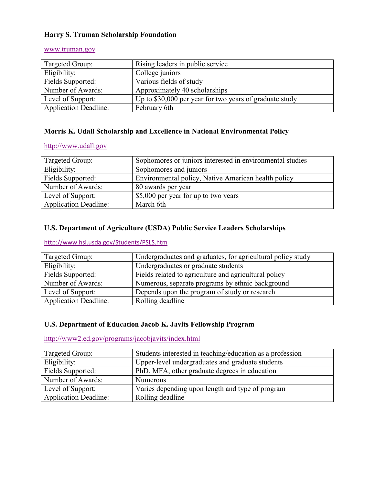## **Harry S. Truman Scholarship Foundation**

| Targeted Group:              | Rising leaders in public service                        |
|------------------------------|---------------------------------------------------------|
| Eligibility:                 | College juniors                                         |
| Fields Supported:            | Various fields of study                                 |
| Number of Awards:            | Approximately 40 scholarships                           |
| Level of Support:            | Up to \$30,000 per year for two years of graduate study |
| <b>Application Deadline:</b> | February 6th                                            |

#### [www.truman.gov](http://www.truman.gov/)

# **Morris K. Udall Scholarship and Excellence in National Environmental Policy**

#### [http://www.udall.gov](http://www.udall.gov/)

| Targeted Group:              | Sophomores or juniors interested in environmental studies |
|------------------------------|-----------------------------------------------------------|
| Eligibility:                 | Sophomores and juniors                                    |
| Fields Supported:            | Environmental policy, Native American health policy       |
| Number of Awards:            | 80 awards per year                                        |
| Level of Support:            | \$5,000 per year for up to two years                      |
| <b>Application Deadline:</b> | March 6th                                                 |

# **U.S. Department of Agriculture (USDA) Public Service Leaders Scholarships**

# <http://www.hsi.usda.gov/Students/PSLS.htm>

| Targeted Group:              | Undergraduates and graduates, for agricultural policy study |
|------------------------------|-------------------------------------------------------------|
| Eligibility:                 | Undergraduates or graduate students                         |
| Fields Supported:            | Fields related to agriculture and agricultural policy       |
| Number of Awards:            | Numerous, separate programs by ethnic background            |
| Level of Support:            | Depends upon the program of study or research               |
| <b>Application Deadline:</b> | Rolling deadline                                            |

# **U.S. Department of Education Jacob K. Javits Fellowship Program**

<http://www2.ed.gov/programs/jacobjavits/index.html>

| Targeted Group:              | Students interested in teaching/education as a profession |
|------------------------------|-----------------------------------------------------------|
| Eligibility:                 | Upper-level undergraduates and graduate students          |
| Fields Supported:            | PhD, MFA, other graduate degrees in education             |
| Number of Awards:            | <b>Numerous</b>                                           |
| Level of Support:            | Varies depending upon length and type of program          |
| <b>Application Deadline:</b> | Rolling deadline                                          |